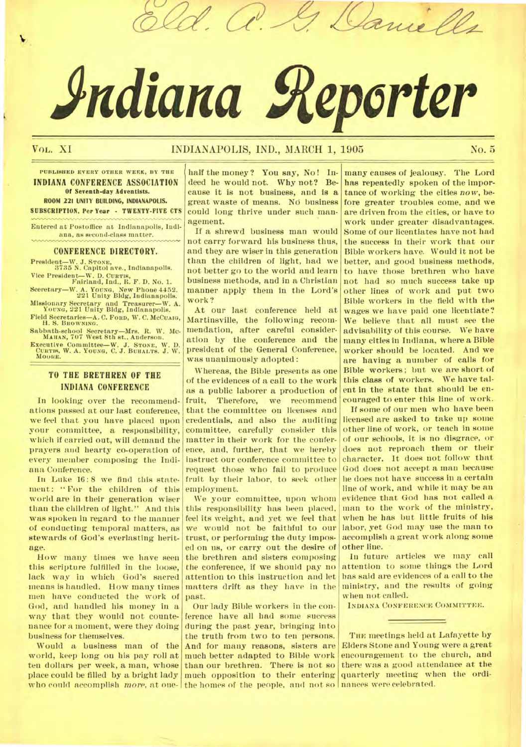# **Adiana geperter**

 $\mathcal{U}$ 

# VOL. XI BROTANAPOLIS, IND., MARCH 1, 1905 No. 5

**PUBLISHED EVERY OTHER WEEK, BY THE INDIANA CONFERENCE ASSOCIATION**  Of Seventh•day Adventists. ROOM 221 UNITY BUILDING, INDIANAPOLIS. SUBSCRIPTION. Per Year • TWENTY•PIYE CTS

Entered at Postoffice at Indianapolis, Indiana, as second-class matter.

#### **CONFERENCE DIRECTORY.**

President—W. J. **STONE,**  3735 N. Capitol ave., Indianapolis.

Vice President—W. D. **CURTIS,**  Falrland, Ind., R. F. D. No. 1. Sceretary—W. A. YOUNG, New Phone 4452. 221 Unity Bldg, Indianapolis.

Missionary Secretary and Treasurer—W. A. YOUNG, 221 Unity Bldg, Indianapolis. Field Secretaries-A. C. FORD, W. C. McCualo,

H. S. BROWNING.

Sabbath-school Secretary—Mrs. R. W. Mc-**MAHAN,** *707* West 8th st.. Anderson.

Executive Committee—W. J. **STONE,** W. D. **CURTIS,** W. A. **YOUNG, C.** J. **BUHALTS.** J. W. **MOORE.** 

## **TO THE BRETHREN OF THE INDIANA CONFERENCE**

In looking over the recommendations passed at our last conference, we feel that you have placed upon your committee, a responsibility, which if carried out, will demand the prayers and hearty co-operation of every member composing the Indiana Conference.

In Luke 16: 8 we find this statement: " For the children of this world are in their generation wiser than the children of light." And this was spoken in regard to the manner of conducting temporal matters, as stewards of God's everlasting heritage.

How many times we have seen this scripture fulfilled in the loose, lack way in which God's sacred means is handled. How many times men have conducted the work of God, and handled his money in a way that they would not countenance for a moment, were they doing business for themselves.

Would a business man of the world, keep long on his pay roll at ten dollars per week, a man, whose place could be filled by a bright lady

half the money? You say, No! Indeed he would not. Why not? Because it is not business, and is a great waste of means. No business could long thrive under such management.

If a shrewd business man would not carry forward his business thus, and they are wiser in this generation than the children of light, had we not better go to the world and learn business methods, and in a Christian manner apply them in the Lord's work ?

At our last conference held at Martinsville, the following recommendation, after careful consideration by the conference and the president of the General Conference, was unanimously adopted :

Whereas, the Bible presents as one of the evidences of a call to the work as a public laborer a production of fruit, Therefore, we recommend that the committee on licenses and credentials, and also the auditing committee, carefully consider this matter in their work for the conference, and, further, that we hereby instruct our conference committee to request those who fail to produce fruit by their labor, to seek other employment.

We your committee, upon whom this responsibility has been placed, feel its weight, and yet we feel that we would not be faithful to our trust, or performing the duty imposed on us, or carry out the desire of the brethren and sisters composing the conference, if we should pay no attention to this instruction and let matters drift as they have in the past.

who could accomplish *more*, at one- the homes of the people, and not so nances were celebrated. Our lady Bible workers in the conference have all had some success during the past year, bringing into the truth from two to ten persons. And for many reasons, sisters are much better adapted to Bible work than our brethren. There is not so much opposition to their entering

many causes of jealousy. The Lord has repeatedly spoken of the importance of working the cities *now,* before greater troubles come, and we are driven from the cities, or have to work under greater disadvantages. Some of our licentiates have not had the success in their work that our Bible workers have. Would it not be better, and good business methods, to have those brethren who have not had so much success take up other lines of work and put two Bible workers in the field with the wages we have paid one licentiate? We believe that all must see the advisability of this course. We *have many* cities in Indiana, where a Bible worker should he located. And we are having a number of calls for Bible workers; but we are short of this class of workers. We have talent in the state that should be encouraged to enter this line of work.

& Caniell

If some of our men who have been licensed are asked to take up some other line of work, or teach in some of our schools, it is no disgrace, or does not reproach them or their character. It does not follow that God does not accept a man because he does not have success in a certain line of work, and while it may be an evidence that God has not called a man to the work of the ministry, when he has but little fruits of his labor, yet God may use the man to accomplish a great work along some other line.

In future articles we may call attention to some things the Lord has said are evidences of a call to the ministry, and the results of going when not called.

INDIANA CONFERENCE COMMITTEE.

THE meetings held at Lafayette **by**  Elders Stone and Young were a great encouragement to the church, and there was a good attendance at the quarterly meeting when the ordi-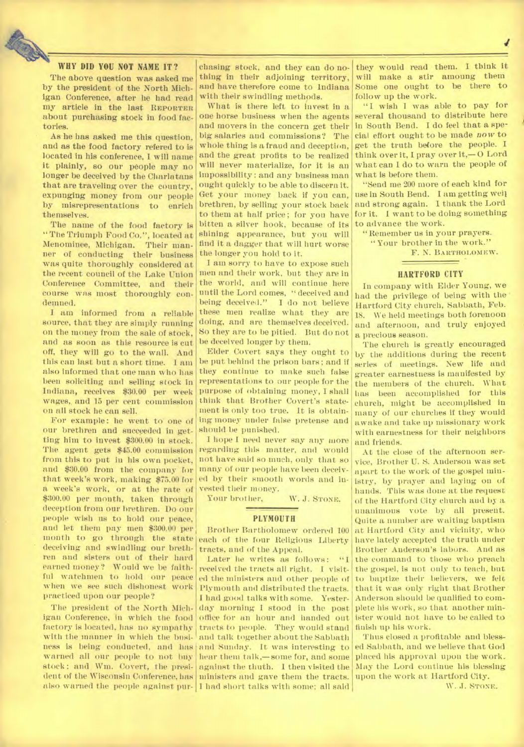## **WHY DID YOU NOT NAME IT?**

The above question was asked me by the president of the North Michigan Conference, after he had read my article in the last REPORTER about purchasing stock in food factories.

As he has asked me this question, and as the food factory refered to is located in his conference, I will name It plainly, so our people may no longer be deceived by the Charlatans that are traveling over the country, expunging money from our people by misrepresentations to enrich themselves.

The name of the food factory is "The Triumph Food Co.", located at Menominee, Michigan. Their manner of conducting their business was quite thoroughly considered at the recent council of the Lake Union Conference Committee, and their course was most thoroughly condemned.

I am informed from a reliable source, that they are simply running on the money from the sale of stock, and as soon as this resource is cut off, they will go to the wall. And this can last but a short time. I am also informed that one man who has been soliciting and selling stock in Indiana, receives \$30.00 per week wages,, and 15 per cent commission on all stock he can sell.

For example: he went to one of our brethren and succeeded in getting him to invest \$300.00 in stock. The agent gets \$45.00 commission from this to put in his own pocket, and \$30.00 from the company for that week's work, making \$75.00 for a week's work, or at the rate of \$300.00 per month, taken through deception from our brethren. Do our people wish us to hold our peace, and let them pay men \$300.00 per month to go through the state deceiving and swindling our brethren and sisters out of their hard earned money? Would we be faithful watchmen to hold our peace when we see such dishonest work practiced upon our people?

The president of the North Michigan Conference, in which the food factory is located, has no sympathy with the manner in which the business is being conducted, and has warned all our people to not buy stock ; and Win. Covert, the president of the Wisconsin Conference, has

chasing stock, and they can do nothing in their adjoining territory, and have therefore come to Indiana with their swindling methods.

What is there left to invest in a one horse business when the agents and movers in the concern get their big salaries and commissions? The whole thing is a fraud and deception, and the great profits to be realized will never materialize, for it is an impossibility: and any business man ought quickly to be able to discern it. Get your money back if you can, brethren, by selling your stock back to them at half price; for you have bitten a silver hook, because of its shining appearance, but you will find it a dagger that will hurt worse the longer you hold to it.

I am sorry to have to expose such men and their work, but they are in the world, and will continue here until the Lord comes, " deceived and being deceived." I do not believe these men realize what they are doing, and are themselves deceived. So they are to be pitied. But do not be deceived longer by them.

Elder Covert says they ought to be put behind the prison bars; and if they continue to make such false representations to our people for the purpose of obtaining money, I shall think that Brother Covert's statement is only too true. It is obtaining money under false pretense and should be punished.

I hope I need never say any more regarding this matter, and would not have said so much, only that so many of our people have been deceived by their smooth words and invested their money.

Your brother, W. J. STONE.

#### **PLYMOUTH**

Brother Bartholomew ordered 100 each of the four Religious Liberty tracts, and of the Appeal.

also warned the people against pur-I had short talks with some; all said Later he writes as follows: "I received the tracts all right. I visited the ministers and other people of Plymouth and distributed the tracts. I had good talks with some. Yesterday morning I stood in the post office for an hour and handed out tracts to people. They would stand and talk together about the Sabbath and Sunday. It was interesting to hear them talk,—some for, and some against the thuth. I then visited the ministers and gave them the tracts.

they would read them. I think it will make a stir amoung them Some one ought to be there to follow up the work.

 $\mathbf{r}$ 

"I wish I was able to pay for several thousand to distribute here in South Bend. I do feel that a special effort ought to be made *now* to get the truth before the people. I think over it, I pray over it,  $-0$  Lord what can I do to warn the people of what is before them.

"Send me 200 more of each kind for use in South Bend. I am getting well and strong again. I thank the Lord for it. I want to be doing something to advance the work.

"Remember us in your prayers. " Your brother in the work." F. N. BARTHOLOMEW.

#### **HARTFORD CITY**

In company with Elder Young, we had the privilege of being with the Hartford City church, Sabbath, Feb. 18. We held meetings both forenoon and afternoon, and truly enjoyed a precious season.

The church is greatly encouraged by the additions during the recent series of meetings. New life and greater earnestness is manifested by the members of the church. What has been accomplished for this church, might be accomplished in many of our churches if they would awake and take up missionary work with earnestness for their neighbors and friends.

At the close of the afternoon service, Brother U. S. Anderson was set apart to the work of the gospel ministry, by prayer and laying on of hands. This was done at the request of the Hartford City church and by a unanimous vote by all present. Quite a number are waiting baptism at Hartford City and vicinity, who have lately accepted the truth under Brother Anderson's labors. And as the command to those who preach the gospel, is not only to teach, but to baptize their believers, we felt that it was only right that Brother Anderson should be qualified to complete his work, so that another minister would not have to be called to finish up his work.

Thus closed a profitable and blessed Sabbath, and we believe that God placed his approval upon the work. May the Lord continue his blessing upon the work at Hartford City.

W. J. STONE.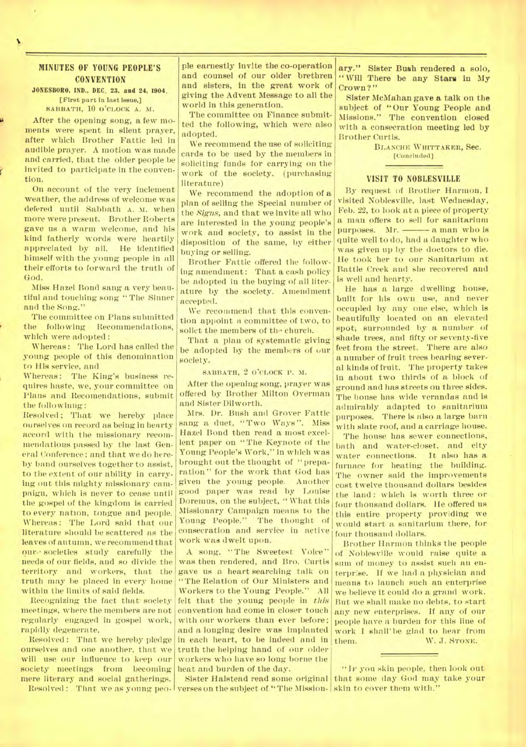## **MINUTES OF YOUNG PEOPLE'S CONVENTION**

**JONESBORO, IND., DEC. 23. and 24, 1904.**  [First part in last issue.] SABBATH, 10 O'CLOCK A. M.

After the opening song, a few moments were spent in silent prayer, after which Brother Fattic led in audible prayer. A motion was made and carried, that the older people be invited to participate in the convention.

On account of the very inclement weather, the address of welcome was defered until Sabbath A. m. when more were present. Brother Roberts gave us a warm welcome, and his kind fatherly words were heartily appreciated by all. He identified himself with the young people in all their efforts to forward the truth of God.

Miss Hazel Bond sang a very beautiful and touching song "The Sinner and the Song."

The committee on Plans submitted the following Recommendations, which were adopted :

Whereas: The Lord has called the young people of this denomination to His service, and

Whereas: The King's business requires haste, we, your committee on Plans and Recomendations, submit the followinng:

Resolved; That we hereby place ourselves on record as being in hearty accord with the missionary recommendations passed by the last General Conference ; and that we do hereby band ourselves together to assist, to the extent of our ability in carrying out this mighty missionary campaign, which is never to cease until the gospel of the kingdom is carried to every nation, tongue and people. Whereas: The Lord said that our literature should be scattered as the leaves of autumn, we recommend that our societies study carefully the needs of our fields, and so divide the territory and workers, that the truth may be placed in every home within the limits of said fields.

Recognizing the fact that society meetings, where the members are not regularly engaged in gospel work, rapidly degenerate.

Resolved : That we hereby pledge ourselves and one another, that we will use our influence to keep our society meetings from becoming mere literary and social gatherings.

ple earnestly invite the co-operation and counsel of our older brethren and sisters, in the great work of giving the Advent Message to all the world in this generation.

The committee on Finance submitted the following, which were also adopted.

We recommend the use of soliciting cards to be used by the members in soliciting funds for carrying on the work of the society. (purchasing literature)

We recommend the adoption of a plan of selling the Special number of the *Signs,* and that we invite all who are interested in the young people's work and society, to assist in the disposition of the same, by either buying or selling.

Brother Fattic offered the following amendment: That a cash policy be adopted in the buying of all literature by the society. Amendment accepted.

We recommend that this convention appoint a committee of two, to solict the members of the church.

That a plan of systematic giving be adopted by the members of our society.

SABBATH, 2 O'CLOCK P. M.

After the opening song, prayer was offered by Brother Milton Overman and Sister Dilworth.

Mrs. Dr. Bush and Grover Fattic sang a duet, "Two Ways". Miss Hazel Bond then read a most excellent paper on "The Keynote of the Young People's Work," in which was brought out the thought of " preparation " for the work that God has given the young people. Another good paper was read by Louise Doremus, on the subject, " What this Missionary Campaign means to the Young People." The thought of consecration and service in active work was dwelt upon.

A song, "The Sweetest Voice" was then rendered, and Bro. Curtis gave us a. heart searching talk on "The Relation of Our Ministers and Workers to the Young People." All felt that the young people in *this*  convention had come in closer touch with our workers than ever before; and a longing desire was implanted in each heart, to be indeed and in truth the helping hand of our older workers who have so long borne the heat and burden of the day.

Resolved : That we as young peo- verses on the subject of "The Mission- skin to cover them with."

ary." Sister Bush rendered a solo, "Will There be any Stars in My Crown?"

Sister McMahan gave a talk on the subject of "Our Young People and Missions." The convention closed with a consecration meeting led by Brother Curtis.

> BLANCHE WHITTAKER, Sec. [Concluded]

#### **VISIT TO NOBLESVILLE**

By request of Brother Harmon, I visited Noblesville, last Wednesday, Feb. 22, to look at a piece of property a man offers to sell for sanitarium purposes. Mr. — a man who is quite well to do, had a daughter who was given up by the doctors to die. He took her to our Sanitarium at Battle Creek and she recovered and is well and hearty.

He has a large dwelling house, built for his own use, and never occupied by any one else, which is beautifully located on an elevated spot; surrounded by a number of shade trees, and fifty or seventy-five feet from the street. There are also a number of fruit trees bearing several kinds of fruit. The property takes in about two thirds of a block of ground and has streets ou three sides. The house has wide verandas and is admirably adapted to sanitarium purposes. There is also a large barn with slate roof, and a carriage house.

The house has sewer connections, bath and water-closet, and city water connections. furnace for heating the building. The owner said the improvements cost twelve thousand dollars besides the land: which is worth three or four thousand dollars. He offered us this entire property providing we would start a sanitarium there, for four thousand dollars.

Brother Harmon thinks the people of Noblesville would raise quite a sum of money to assist such an enterprise. If we had a physician and means to launch such an enterprise we believe it could do a grand work. But we shall make no debts, to start any new enterprises. If any of our people have a burden for this line of work I shall' be glad to hear from them. W. J. STONE.

Sister Halstead read some original that some day God may take your " IF you skin people, then look out